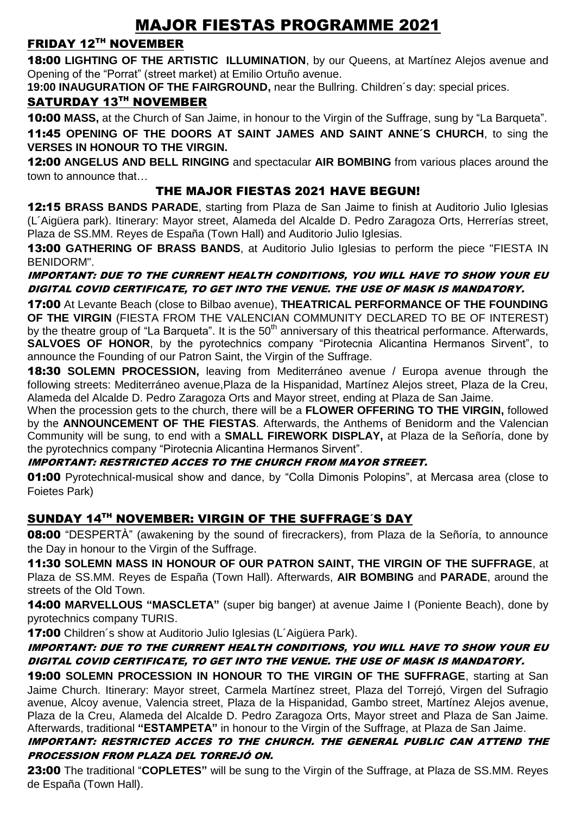# MAJOR FIESTAS PROGRAMME 2021

## FRIDAY 12TH NOVEMBER

18:00 **LIGHTING OF THE ARTISTIC ILLUMINATION**, by our Queens, at Martínez Alejos avenue and Opening of the "Porrat" (street market) at Emilio Ortuño avenue.

**19:00 INAUGURATION OF THE FAIRGROUND,** near the Bullring. Children´s day: special prices.

### SATURDAY 13TH NOVEMBER

10:00 **MASS,** at the Church of San Jaime, in honour to the Virgin of the Suffrage, sung by "La Barqueta". 11:45 **OPENING OF THE DOORS AT SAINT JAMES AND SAINT ANNE´S CHURCH**, to sing the **VERSES IN HONOUR TO THE VIRGIN.**

12:00 **ANGELUS AND BELL RINGING** and spectacular **AIR BOMBING** from various places around the town to announce that…

#### THE MAJOR FIESTAS 2021 HAVE BEGUN!

12:15 **BRASS BANDS PARADE**, starting from Plaza de San Jaime to finish at Auditorio Julio Iglesias (L´Aigüera park). Itinerary: Mayor street, Alameda del Alcalde D. Pedro Zaragoza Orts, Herrerías street, Plaza de SS.MM. Reyes de España (Town Hall) and Auditorio Julio Iglesias.

13:00 **GATHERING OF BRASS BANDS**, at Auditorio Julio Iglesias to perform the piece "FIESTA IN BENIDORM".

#### IMPORTANT: DUE TO THE CURRENT HEALTH CONDITIONS, YOU WILL HAVE TO SHOW YOUR EU DIGITAL COVID CERTIFICATE, TO GET INTO THE VENUE. THE USE OF MASK IS MANDATORY.

17:00 At Levante Beach (close to Bilbao avenue), **THEATRICAL PERFORMANCE OF THE FOUNDING OF THE VIRGIN** (FIESTA FROM THE VALENCIAN COMMUNITY DECLARED TO BE OF INTEREST) by the theatre group of "La Bargueta". It is the 50<sup>th</sup> anniversary of this theatrical performance. Afterwards, **SALVOES OF HONOR**, by the pyrotechnics company "Pirotecnia Alicantina Hermanos Sirvent", to announce the Founding of our Patron Saint, the Virgin of the Suffrage.

18:30 **SOLEMN PROCESSION,** leaving from Mediterráneo avenue / Europa avenue through the following streets: Mediterráneo avenue,Plaza de la Hispanidad, Martínez Alejos street, Plaza de la Creu, Alameda del Alcalde D. Pedro Zaragoza Orts and Mayor street, ending at Plaza de San Jaime.

When the procession gets to the church, there will be a **FLOWER OFFERING TO THE VIRGIN,** followed by the **ANNOUNCEMENT OF THE FIESTAS**. Afterwards, the Anthems of Benidorm and the Valencian Community will be sung, to end with a **SMALL FIREWORK DISPLAY,** at Plaza de la Señoría, done by the pyrotechnics company "Pirotecnia Alicantina Hermanos Sirvent".

#### IMPORTANT: RESTRICTED ACCES TO THE CHURCH FROM MAYOR STREET.

**01:00** Pyrotechnical-musical show and dance, by "Colla Dimonis Polopins", at Mercasa area (close to Foietes Park)

# SUNDAY 14TH NOVEMBER: VIRGIN OF THE SUFFRAGE'S DAY

08:00 "DESPERTÀ" (awakening by the sound of firecrackers), from Plaza de la Señoría, to announce the Day in honour to the Virgin of the Suffrage.

11:30 **SOLEMN MASS IN HONOUR OF OUR PATRON SAINT, THE VIRGIN OF THE SUFFRAGE**, at Plaza de SS.MM. Reyes de España (Town Hall). Afterwards, **AIR BOMBING** and **PARADE**, around the streets of the Old Town.

14:00 **MARVELLOUS "MASCLETA"** (super big banger) at avenue Jaime I (Poniente Beach), done by pyrotechnics company TURIS.

**17:00** Children's show at Auditorio Julio Iglesias (L'Aigüera Park).

#### IMPORTANT: DUE TO THE CURRENT HEALTH CONDITIONS, YOU WILL HAVE TO SHOW YOUR EU DIGITAL COVID CERTIFICATE, TO GET INTO THE VENUE. THE USE OF MASK IS MANDATORY.

19:00 **SOLEMN PROCESSION IN HONOUR TO THE VIRGIN OF THE SUFFRAGE**, starting at San Jaime Church. Itinerary: Mayor street, Carmela Martínez street, Plaza del Torrejó, Virgen del Sufragio avenue, Alcoy avenue, Valencia street, Plaza de la Hispanidad, Gambo street, Martínez Alejos avenue, Plaza de la Creu, Alameda del Alcalde D. Pedro Zaragoza Orts, Mayor street and Plaza de San Jaime. Afterwards, traditional **"ESTAMPETA"** in honour to the Virgin of the Suffrage, at Plaza de San Jaime.

#### IMPORTANT: RESTRICTED ACCES TO THE CHURCH. THE GENERAL PUBLIC CAN ATTEND THE PROCESSION FROM PLAZA DEL TORREJÓ ON.

23:00 The traditional "**COPLETES"** will be sung to the Virgin of the Suffrage, at Plaza de SS.MM. Reyes de España (Town Hall).